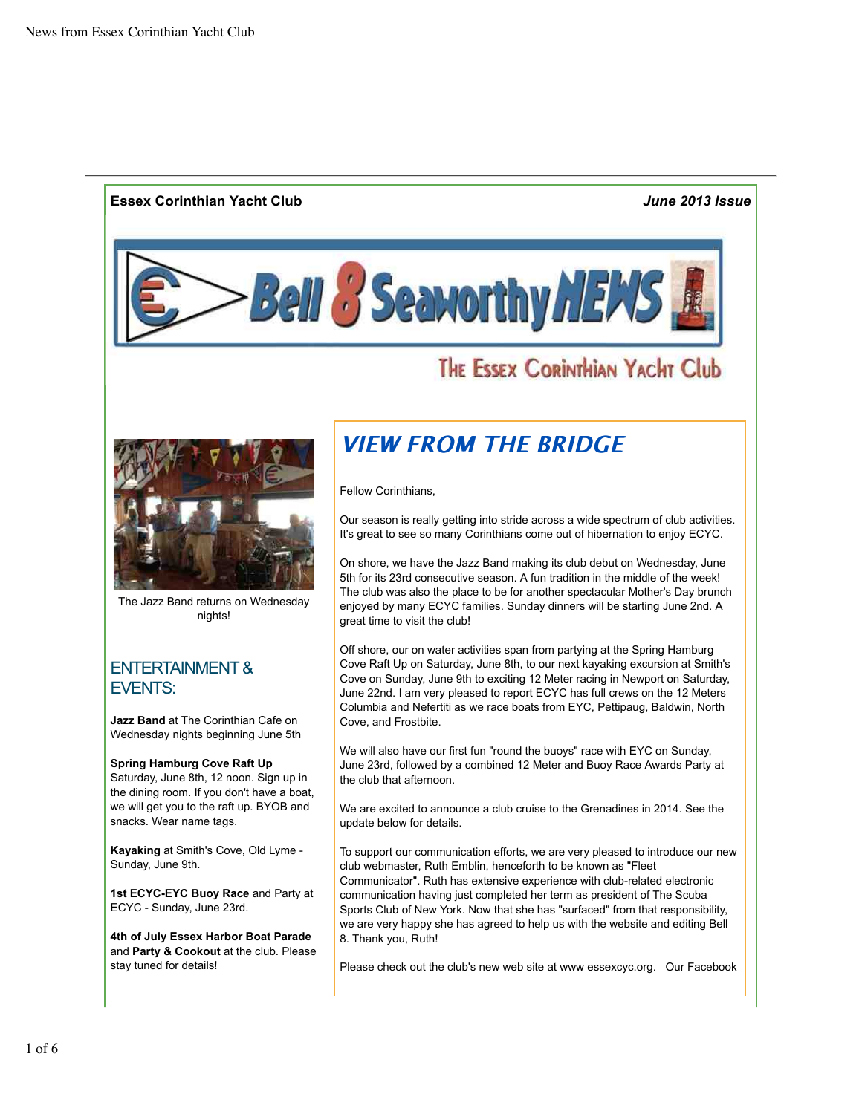### **Essex Corinthian Yacht Club** *June 2013 Issue*

**Bell & Seawrthy HEMS** 

# THE ESSEX CORINTHIAN YACHT CLU



The Jazz Band returns on Wednesday nights!

### ENTERTAINMENT & EVENTS:

**Jazz Band** at The Corinthian Cafe on Wednesday nights beginning June 5th

#### **Spring Hamburg Cove Raft Up**

Saturday, June 8th, 12 noon. Sign up in the dining room. If you don't have a boat, we will get you to the raft up. BYOB and snacks. Wear name tags.

**Kayaking** at Smith's Cove, Old Lyme - Sunday, June 9th.

**1st ECYC-EYC Buoy Race** and Party at ECYC - Sunday, June 23rd.

**4th of July Essex Harbor Boat Parade** and **Party & Cookout** at the club. Please stay tuned for details!

# VIEW FROM THE BRIDGE

Fellow Corinthians,

Our season is really getting into stride across a wide spectrum of club activities. It's great to see so many Corinthians come out of hibernation to enjoy ECYC.

On shore, we have the Jazz Band making its club debut on Wednesday, June 5th for its 23rd consecutive season. A fun tradition in the middle of the week! The club was also the place to be for another spectacular Mother's Day brunch enjoyed by many ECYC families. Sunday dinners will be starting June 2nd. A great time to visit the club!

Off shore, our on water activities span from partying at the Spring Hamburg Cove Raft Up on Saturday, June 8th, to our next kayaking excursion at Smith's Cove on Sunday, June 9th to exciting 12 Meter racing in Newport on Saturday, June 22nd. I am very pleased to report ECYC has full crews on the 12 Meters Columbia and Nefertiti as we race boats from EYC, Pettipaug, Baldwin, North Cove, and Frostbite.

We will also have our first fun "round the buoys" race with EYC on Sunday, June 23rd, followed by a combined 12 Meter and Buoy Race Awards Party at the club that afternoon.

We are excited to announce a club cruise to the Grenadines in 2014. See the update below for details.

To support our communication efforts, we are very pleased to introduce our new club webmaster, Ruth Emblin, henceforth to be known as "Fleet Communicator". Ruth has extensive experience with club-related electronic communication having just completed her term as president of The Scuba Sports Club of New York. Now that she has "surfaced" from that responsibility, we are very happy she has agreed to help us with the website and editing Bell 8. Thank you, Ruth!

Please check out the club's new web site at www essexcyc.org. Our Facebook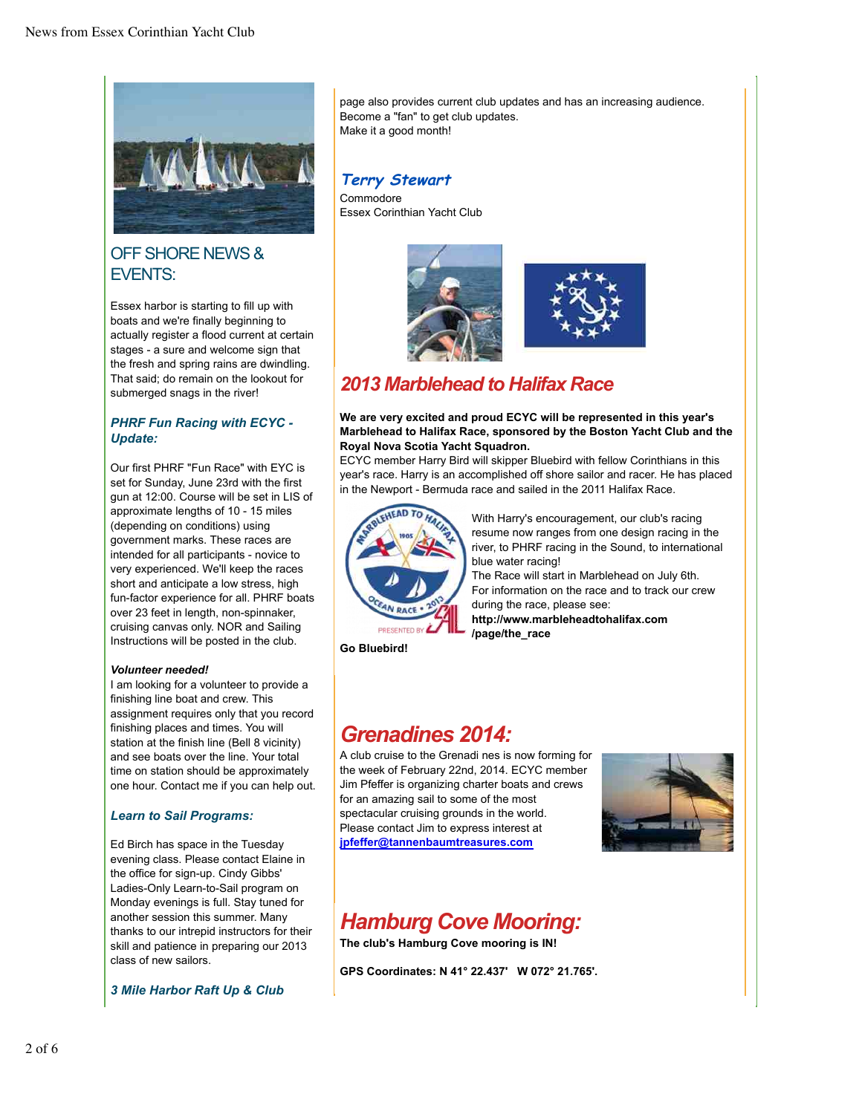

### OFF SHORE NEWS & EVENTS:

Essex harbor is starting to fill up with boats and we're finally beginning to actually register a flood current at certain stages - a sure and welcome sign that the fresh and spring rains are dwindling. That said; do remain on the lookout for submerged snags in the river!

#### *PHRF Fun Racing with ECYC - Update:*

Our first PHRF "Fun Race" with EYC is set for Sunday, June 23rd with the first gun at 12:00. Course will be set in LIS of approximate lengths of 10 - 15 miles (depending on conditions) using government marks. These races are intended for all participants - novice to very experienced. We'll keep the races short and anticipate a low stress, high fun-factor experience for all. PHRF boats over 23 feet in length, non-spinnaker, cruising canvas only. NOR and Sailing Instructions will be posted in the club.

#### *Volunteer needed!*

I am looking for a volunteer to provide a finishing line boat and crew. This assignment requires only that you record finishing places and times. You will station at the finish line (Bell 8 vicinity) and see boats over the line. Your total time on station should be approximately one hour. Contact me if you can help out.

#### *Learn to Sail Programs:*

Ed Birch has space in the Tuesday evening class. Please contact Elaine in the office for sign-up. Cindy Gibbs' Ladies-Only Learn-to-Sail program on Monday evenings is full. Stay tuned for another session this summer. Many thanks to our intrepid instructors for their skill and patience in preparing our 2013 class of new sailors.

*3 Mile Harbor Raft Up & Club*

page also provides current club updates and has an increasing audience. Become a "fan" to get club updates. Make it a good month!

### **Terry Stewart**

Commodore Essex Corinthian Yacht Club





### *2013 Marblehead to Halifax Race*

#### **We are very excited and proud ECYC will be represented in this year's Marblehead to Halifax Race, sponsored by the Boston Yacht Club and the Royal Nova Scotia Yacht Squadron.**

ECYC member Harry Bird will skipper Bluebird with fellow Corinthians in this year's race. Harry is an accomplished off shore sailor and racer. He has placed in the Newport - Bermuda race and sailed in the 2011 Halifax Race.



With Harry's encouragement, our club's racing resume now ranges from one design racing in the river, to PHRF racing in the Sound, to international blue water racing!

The Race will start in Marblehead on July 6th. For information on the race and to track our crew during the race, please see: **http://www.marbleheadtohalifax.com**

**/page/the\_race**

**Go Bluebird!**

# *Grenadines 2014:*

A club cruise to the Grenadi nes is now forming for the week of February 22nd, 2014. ECYC member Jim Pfeffer is organizing charter boats and crews for an amazing sail to some of the most spectacular cruising grounds in the world. Please contact Jim to express interest at **jpfeffer@tannenbaumtreasures.com**



# *Hamburg Cove Mooring:*

**The club's Hamburg Cove mooring is IN!**

**GPS Coordinates: N 41° 22.437' W 072° 21.765'.**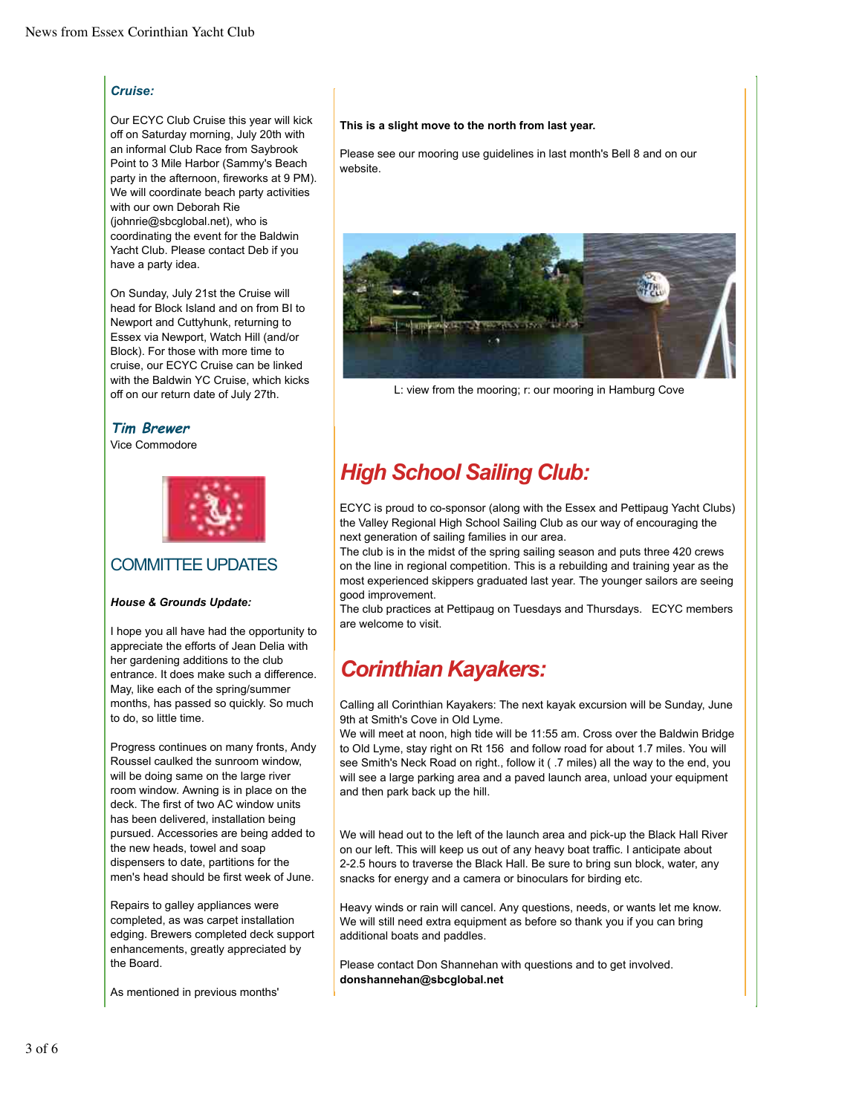#### *Cruise:*

Our ECYC Club Cruise this year will kick off on Saturday morning, July 20th with an informal Club Race from Saybrook Point to 3 Mile Harbor (Sammy's Beach party in the afternoon, fireworks at 9 PM). We will coordinate beach party activities with our own Deborah Rie (johnrie@sbcglobal.net), who is coordinating the event for the Baldwin Yacht Club. Please contact Deb if you have a party idea.

On Sunday, July 21st the Cruise will head for Block Island and on from BI to Newport and Cuttyhunk, returning to Essex via Newport, Watch Hill (and/or Block). For those with more time to cruise, our ECYC Cruise can be linked with the Baldwin YC Cruise, which kicks off on our return date of July 27th.

#### **Tim Brewer**

Vice Commodore



### COMMITTEE UPDATES

#### *House & Grounds Update:*

I hope you all have had the opportunity to appreciate the efforts of Jean Delia with her gardening additions to the club entrance. It does make such a difference. May, like each of the spring/summer months, has passed so quickly. So much to do, so little time.

Progress continues on many fronts, Andy Roussel caulked the sunroom window, will be doing same on the large river room window. Awning is in place on the deck. The first of two AC window units has been delivered, installation being pursued. Accessories are being added to the new heads, towel and soap dispensers to date, partitions for the men's head should be first week of June.

Repairs to galley appliances were completed, as was carpet installation edging. Brewers completed deck support enhancements, greatly appreciated by the Board.

As mentioned in previous months'

#### **This is a slight move to the north from last year.**

Please see our mooring use guidelines in last month's Bell 8 and on our website.



L: view from the mooring; r: our mooring in Hamburg Cove

# *High School Sailing Club:*

ECYC is proud to co-sponsor (along with the Essex and Pettipaug Yacht Clubs) the Valley Regional High School Sailing Club as our way of encouraging the next generation of sailing families in our area.

The club is in the midst of the spring sailing season and puts three 420 crews on the line in regional competition. This is a rebuilding and training year as the most experienced skippers graduated last year. The younger sailors are seeing good improvement.

The club practices at Pettipaug on Tuesdays and Thursdays. ECYC members are welcome to visit.

# *Corinthian Kayakers:*

Calling all Corinthian Kayakers: The next kayak excursion will be Sunday, June 9th at Smith's Cove in Old Lyme.

We will meet at noon, high tide will be 11:55 am. Cross over the Baldwin Bridge to Old Lyme, stay right on Rt 156 and follow road for about 1.7 miles. You will see Smith's Neck Road on right., follow it ( .7 miles) all the way to the end, you will see a large parking area and a paved launch area, unload your equipment and then park back up the hill.

We will head out to the left of the launch area and pick-up the Black Hall River on our left. This will keep us out of any heavy boat traffic. I anticipate about 2-2.5 hours to traverse the Black Hall. Be sure to bring sun block, water, any snacks for energy and a camera or binoculars for birding etc.

Heavy winds or rain will cancel. Any questions, needs, or wants let me know. We will still need extra equipment as before so thank you if you can bring additional boats and paddles.

Please contact Don Shannehan with questions and to get involved. **donshannehan@sbcglobal.net**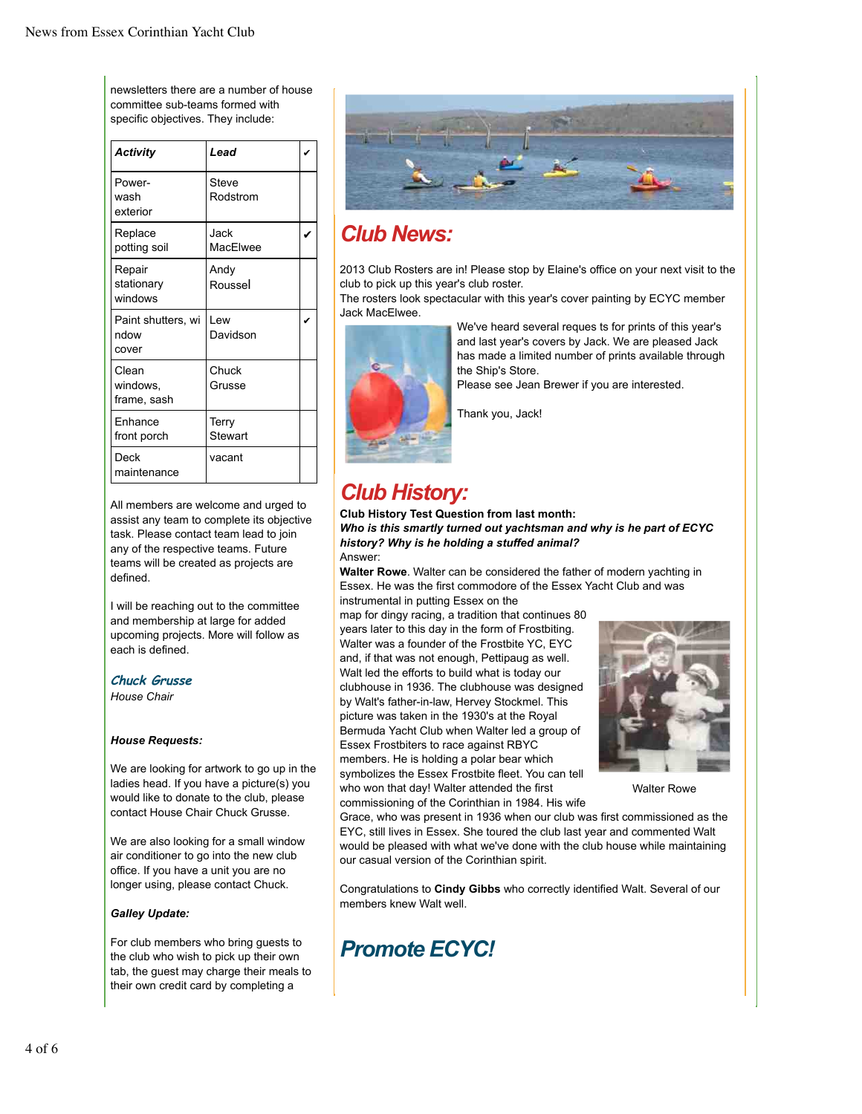newsletters there are a number of house committee sub-teams formed with specific objectives. They include:

| <b>Activity</b>                     | Lead              |  |
|-------------------------------------|-------------------|--|
| Power-<br>wash<br>exterior          | Steve<br>Rodstrom |  |
| Replace<br>potting soil             | Jack<br>MacElwee  |  |
| Repair<br>stationary<br>windows     | Andy<br>Roussel   |  |
| Paint shutters, wi<br>ndow<br>cover | Lew<br>Davidson   |  |
| Clean<br>windows,<br>frame, sash    | Chuck<br>Grusse   |  |
| Enhance<br>front porch              | Terry<br>Stewart  |  |
| Deck<br>maintenance                 | vacant            |  |

All members are welcome and urged to assist any team to complete its objective task. Please contact team lead to join any of the respective teams. Future teams will be created as projects are defined.

I will be reaching out to the committee and membership at large for added upcoming projects. More will follow as each is defined.

#### **Chuck Grusse**

*House Chair*

#### *House Requests:*

We are looking for artwork to go up in the ladies head. If you have a picture(s) you would like to donate to the club, please contact House Chair Chuck Grusse.

We are also looking for a small window air conditioner to go into the new club office. If you have a unit you are no longer using, please contact Chuck.

#### *Galley Update:*

For club members who bring guests to the club who wish to pick up their own tab, the guest may charge their meals to their own credit card by completing a



## *Club News:*

2013 Club Rosters are in! Please stop by Elaine's office on your next visit to the club to pick up this year's club roster.

The rosters look spectacular with this year's cover painting by ECYC member Jack MacElwee.



We've heard several reques ts for prints of this year's and last year's covers by Jack. We are pleased Jack has made a limited number of prints available through the Ship's Store.

Please see Jean Brewer if you are interested.

Thank you, Jack!

# *Club History:*

**Club History Test Question from last month:** *Who is this smartly turned out yachtsman and why is he part of ECYC history? Why is he holding a stuffed animal?* Answer:

**Walter Rowe**. Walter can be considered the father of modern yachting in Essex. He was the first commodore of the Essex Yacht Club and was instrumental in putting Essex on the

map for dingy racing, a tradition that continues 80 years later to this day in the form of Frostbiting. Walter was a founder of the Frostbite YC, EYC and, if that was not enough, Pettipaug as well. Walt led the efforts to build what is today our clubhouse in 1936. The clubhouse was designed by Walt's father-in-law, Hervey Stockmel. This picture was taken in the 1930's at the Royal Bermuda Yacht Club when Walter led a group of Essex Frostbiters to race against RBYC members. He is holding a polar bear which symbolizes the Essex Frostbite fleet. You can tell who won that day! Walter attended the first commissioning of the Corinthian in 1984. His wife



Walter Rowe

Grace, who was present in 1936 when our club was first commissioned as the EYC, still lives in Essex. She toured the club last year and commented Walt would be pleased with what we've done with the club house while maintaining our casual version of the Corinthian spirit.

Congratulations to **Cindy Gibbs** who correctly identified Walt. Several of our members knew Walt well.

# *Promote ECYC!*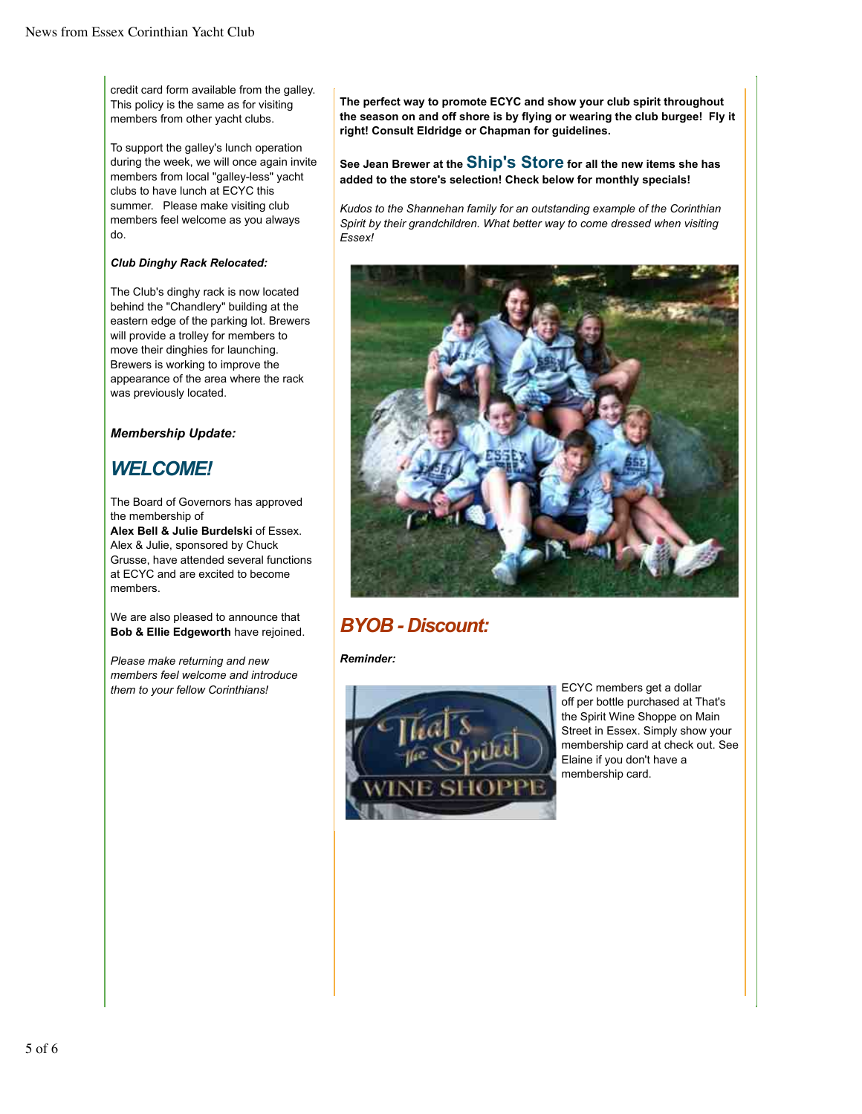credit card form available from the galley. This policy is the same as for visiting members from other yacht clubs.

To support the galley's lunch operation during the week, we will once again invite members from local "galley-less" yacht clubs to have lunch at ECYC this summer. Please make visiting club members feel welcome as you always do.

#### *Club Dinghy Rack Relocated:*

The Club's dinghy rack is now located behind the "Chandlery" building at the eastern edge of the parking lot. Brewers will provide a trolley for members to move their dinghies for launching. Brewers is working to improve the appearance of the area where the rack was previously located.

#### *Membership Update:*

### *WELCOME!*

The Board of Governors has approved the membership of **Alex Bell & Julie Burdelski** of Essex. Alex & Julie, sponsored by Chuck Grusse, have attended several functions

at ECYC and are excited to become members.

We are also pleased to announce that **Bob & Ellie Edgeworth** have rejoined.

*Please make returning and new members feel welcome and introduce them to your fellow Corinthians!*

**The perfect way to promote ECYC and show your club spirit throughout the season on and off shore is by flying or wearing the club burgee! Fly it right! Consult Eldridge or Chapman for guidelines.**

**See Jean Brewer at the Ship's Store for all the new items she has added to the store's selection! Check below for monthly specials!**

*Kudos to the Shannehan family for an outstanding example of the Corinthian Spirit by their grandchildren. What better way to come dressed when visiting Essex!*



### *BYOB - Discount:*

*Reminder:*



ECYC members get a dollar off per bottle purchased at That's the Spirit Wine Shoppe on Main Street in Essex. Simply show your membership card at check out. See Elaine if you don't have a membership card.